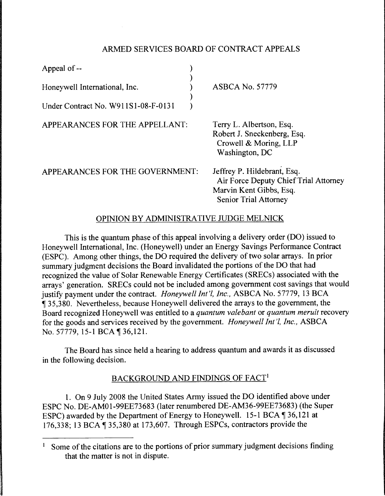## ARMED SERVICES BOARD OF CONTRACT APPEALS

| Appeal of --                        |                                                                                                                                 |
|-------------------------------------|---------------------------------------------------------------------------------------------------------------------------------|
| Honeywell International, Inc.       | <b>ASBCA No. 57779</b>                                                                                                          |
| Under Contract No. W911S1-08-F-0131 |                                                                                                                                 |
| APPEARANCES FOR THE APPELLANT:      | Terry L. Albertson, Esq.<br>Robert J. Sneckenberg, Esq.<br>Crowell & Moring, LLP<br>Washington, DC                              |
| APPEARANCES FOR THE GOVERNMENT:     | Jeffrey P. Hildebrant, Esq.<br>Air Force Deputy Chief Trial Attorney<br>Marvin Kent Gibbs, Esq.<br><b>Senior Trial Attorney</b> |

### OPINION BY ADMINISTRATIVE JUDGE MELNICK

This is the quantum phase of this appeal involving a delivery order (DO) issued to Honeywell International, Inc. (Honeywell) under an Energy Savings Performance Contract (ESPC). Among other things, the DO required the delivery of two solar arrays. In prior summary judgment decisions the Board invalidated the portions of the DO that had recognized the value of Solar Renewable Energy Certificates (SRECs) associated with the arrays' generation. SRECs could not be included among government cost savings that would justify payment under the contract. *Honeywell Int'l, Inc.,* ASBCA No. 57779, 13 BCA 135,380. Nevertheless, because Honeywell delivered the arrays to the government, the Board recognized Honeywell was entitled to a *quantum valebant* or *quantum meruit* recovery for the goods and services received by the government. *Honeywell Int'!, Inc.,* ASBCA No. 57779, 15-1 BCA ¶ 36,121.

The Board has since held a hearing to address quantum and awards it as discussed in the following decision.

# BACKGROUND AND FINDINGS OF FACT<sup>1</sup>

1. On 9 July 2008 the United States Army issued the DO identified above under ESPC No. DE-AM01-99EE73683 (later renumbered DE-AM36-99EE73683) (the Super ESPC) awarded by the Department of Energy to Honeywell. 15-1 BCA  $\parallel$  36, 121 at 176,338; 13 BCA  $\P$  35,380 at 173,607. Through ESPCs, contractors provide the

Some of the citations are to the portions of prior summary judgment decisions finding that the matter is not in dispute.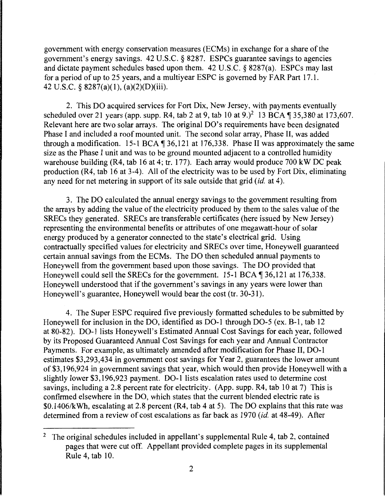government with energy conservation measures (ECMs) in exchange for a share of the government's energy savings. 42 U.S.C. § 8287. ESPCs guarantee savings to agencies and dictate payment schedules based upon them. 42 U.S.C. § 8287(a). ESPCs may last for a period of up to 25 years, and a multiyear ESPC is governed by FAR Part 17 .1. 42 U.S.C. § 8287(a)(l ), (a)(2)(D)(iii).

2. This DO acquired services for Fort Dix, New Jersey, with payments eventually scheduled over 21 years (app. supp. R4, tab 2 at 9, tab 10 at 9.)<sup>2</sup> 13 BCA  $\P$  35,380 at 173,607. Relevant here are two solar arrays. The original DO's requirements have been designated Phase I and included a roof mounted unit. The second solar array, Phase II, was added through a modification. 15-1 BCA  $\P$  36,121 at 176,338. Phase II was approximately the same size as the Phase I unit and was to be ground mounted adjacent to a controlled humidity warehouse building (R4, tab 16 at 4; tr. 177). Each array would produce 700 kW DC peak production (R4, tab 16 at 3-4). All of the electricity was to be used by Fort Dix, eliminating any need for net metering in support of its sale outside that grid *(id.* at 4).

3. The DO calculated the annual energy savings to the government resulting from the arrays by adding the value of the electricity produced by them to the sales value of the SRECs they generated. SRECs are transferable certificates (here issued by New Jersey) representing the environmental benefits or attributes of one megawatt-hour of solar energy produced by a generator connected to the state's electrical grid. Using contractually specified values for electricity and SRECs over time, Honeywell guaranteed certain annual savings from the ECMs. The DO then scheduled annual payments to Honeywell from the government based upon those savings. The DO provided that Honeywell could sell the SRECs for the government. 15-1 BCA  $\P$  36,121 at 176,338. Honeywell understood that if the government's savings in any years were lower than Honeywell's guarantee, Honeywell would bear the cost (tr. 30-31).

4. The Super ESPC required five previously formatted schedules to be submitted by Honeywell for inclusion in the DO, identified as D0-1 through D0-5 (ex. B-1, tab 12 at 80-82). D0-1 lists Honeywell's Estimated Annual Cost Savings for each year, followed by its Proposed Guaranteed Annual Cost Savings for each year and Annual Contractor Payments. For example, as ultimately amended after modification for Phase II, D0-1 estimates \$3,293,434 in government cost savings for Year 2, guarantees the lower amount of \$3,196,924 in government savings that year, which would then provide Honeywell with a slightly lower \$3, 196,923 payment. D0-1 lists escalation rates used to determine cost savings, including a 2.8 percent rate for electricity. (App. supp. R4, tab 10 at 7) This is confirmed elsewhere in the DO, which states that the current blended electric rate is \$0.1406/kWh, escalating at 2.8 percent (R4, tab 4 at 5). The DO explains that this rate was determined from a review of cost escalations as far back as 1970 *(id.* at 48-49). After

<sup>&</sup>lt;sup>2</sup> The original schedules included in appellant's supplemental Rule 4, tab 2, contained pages that were cut off. Appellant provided complete pages in its supplemental Rule 4, tab 10.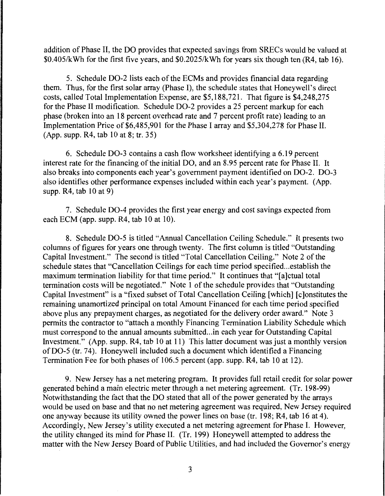addition of Phase II, the DO provides that expected savings from SRECs would be valued at \$0.405/kWh for the first five years, and \$0.2025/kWh for years six though ten (R4, tab 16).

5. Schedule D0-2 lists each of the ECMs and provides financial data regarding them. Thus, for the first solar array (Phase I), the schedule states that Honeywell's direct costs, called Total Implementation Expense, are \$5,188,721. That figure is \$4,248,275 for the Phase II modification. Schedule D0-2 provides a 25 percent markup for each phase (broken into an 18 percent overhead rate and 7 percent profit rate) leading to an Implementation Price of \$6,485,901 for the Phase I array and \$5,304,278 for Phase II. (App. supp. R4, tab 10 at 8; tr. 35)

6. Schedule D0-3 contains a cash flow worksheet identifying a 6.19 percent interest rate for the financing of the initial DO, and an 8.95 percent rate for Phase II. It also breaks into components each year's government payment identified on D0-2. D0-3 also identifies other performance expenses included within each year's payment. (App. supp. R4, tab 10 at 9)

7. Schedule D0-4 provides the first year energy and cost savings expected from each ECM (app. supp. R4, tab 10 at 10).

8. Schedule D0-5 is titled "'Annual Cancellation Ceiling Schedule." It presents two columns of figures for years one through twenty. The first column is titled "Outstanding Capital Investment." The second is titled "Total Cancellation Ceiling." Note 2 of the schedule states that "Cancellation Ceilings for each time period specified ... establish the maximum termination liability for that time period." It continues that "[a]ctual total termination costs will be negotiated." Note 1 of the schedule provides that "Outstanding Capital Investment" is a "fixed subset of Total Cancellation Ceiling [which] [ c ]onstitutes the remaining unamortized principal on total Amount Financed for each time period specified above plus any prepayment charges, as negotiated for the delivery order award." Note 3 permits the contractor to "attach a monthly Financing Termination Liability Schedule which must correspond to the annual amounts submitted...in each year for Outstanding Capital Investment." (App. supp. R4, tab 10 at 11) This latter document was just a monthly version ofD0-5 (tr. 74). Honeywell included such a document which identified a Financing Termination Fee for both phases of 106.5 percent (app. supp. R4, tab 10 at 12).

9. New Jersey has a net metering program. It provides full retail credit for solar power generated behind a main electric meter through a net metering agreement. (Tr. 198-99) Notwithstanding the fact that the DO stated that all of the power generated by the arrays would be used on base and that no net metering agreement was required, New Jersey required one anyway because its utility owned the power lines on base (tr. 198; R4, tab 16 at 4). Accordingly, New Jersey's utility executed a net metering agreement for Phase I. However, the utility changed its mind for Phase II. (Tr. 199) Honeywell attempted to address the matter with the New Jersey Board of Public Utilities, and had included the Governor's energy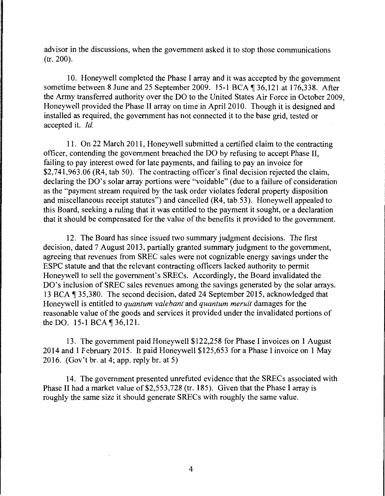advisor in the discussions, when the government asked it to stop those communications (tr. 200).

10. Honeywell completed the Phase I array and it was accepted by the government sometime between 8 June and 25 September 2009. 15-1 BCA ¶ 36,121 at 176,338. After the Army transferred authority over the DO to the United States Air Force in October 2009, Honeywell provided the Phase II array on time in April 2010. Though it is designed and installed as required, the government has not connected it to the base grid, tested or accepted it. *Id.* 

11. On 22 March 2011, Honeywell submitted a certified claim to the contracting officer, contending the government breached the DO by refusing to accept Phase II, failing to pay interest owed for late payments, and failing to pay an invoice for \$2,741,963.06 (R4, tab 50). The contracting officer's final decision rejected the claim, declaring the DO's solar array portions were "voidable" (due to a failure of consideration as the "payment stream required by the task order violates federal property disposition and miscellaneous receipt statutes") and cancelled (R4, tab 53). Honeywell appealed to this Board, seeking a ruling that it was entitled to the payment it sought, or a declaration that it should be compensated for the value of the benefits it provided to the government.

12. The Board has since issued two summary judgment decisions. The first decision, dated 7 August 2013, partially granted summary judgment to the government, agreeing that revenues from SREC sales were not cognizable energy savings under the ESPC statute and that the relevant contracting officers lacked authority to permit Honeywell to sell the government's SRECs. Accordingly, the Board invalidated the DO's inclusion of SREC sales revenues among the savings generated by the solar arrays. 13 BCA ¶ 35,380. The second decision, dated 24 September 2015, acknowledged that Honeywell is entitled to *quantum valebant* and *quantum meruit* damages for the reasonable value of the goods and services it provided under the invalidated portions of the DO. 15-1 BCA ¶ 36,121.

13. The government paid Honeywell \$122,258 for Phase I invoices on 1 August 2014 and 1 February 2015. It paid Honeywell \$125,653 for a Phase I invoice on 1 May 2016. (Gov't br. at 4; app. reply br. at 5)

14. The government presented unrefuted evidence that the SRECs associated with Phase II had a market value of \$2,553,728 (tr. 185). Given that the Phase I array is roughly the same size it should generate SRECs with roughly the same value.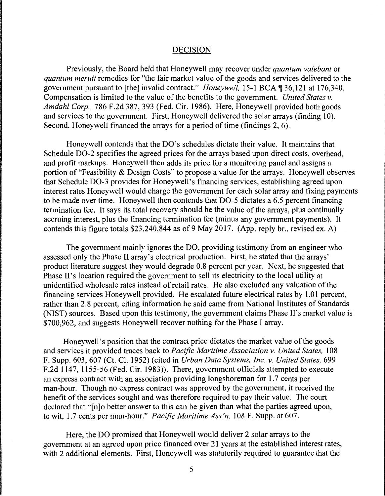#### DECISION

Previously, the Board held that Honeywell may recover under *quantum valebant* or *quantum meruit* remedies for "the fair market value of the goods and services delivered to the government pursuant to [the] invalid contract." *Honeywell*, 15-1 BCA ¶ 36,121 at 176,340. Compensation is limited to the value of the benefits to the government. *United States v. Amdahl Corp.,* 786 F.2d 387, 393 (Fed. Cir. 1986). Here, Honeywell provided both goods and services to the government. First, Honeywell delivered the solar arrays (finding 10). Second, Honeywell financed the arrays for a period of time (findings 2, 6).

Honeywell contends that the DO's schedules dictate their value. It maintains that Schedule D0-2 specifies the agreed prices for the arrays based upon direct costs, overhead, and profit markups. Honeywell then adds its price for a monitoring panel and assigns a portion of "Feasibility & Design Costs" to propose a value for the arrays. Honeywell observes that Schedule D0-3 provides for Honeywell's financing services, establishing agreed upon interest rates Honeywell would charge the government for each solar array and fixing payments to be made over time. Honeywell then contends that D0-5 dictates a 6.5 percent financing termination fee. It says its total recovery should be the value of the arrays, plus continually accruing interest, plus the financing termination fee (minus any government payments). It contends this figure totals \$23,240,844 as of 9 May 2017. (App. reply br., revised ex. A)

The government mainly ignores the DO, providing testimony from an engineer who assessed only the Phase II array's electrical production. First, he stated that the arrays' product literature suggest they would degrade 0.8 percent per year. Next, he suggested that Phase II's location required the government to sell its electricity to the local utility at unidentified wholesale rates instead of retail rates. He also excluded any valuation of the financing services Honeywell provided. He escalated future electrical rates by 1.01 percent, rather than 2.8 percent, citing information he said came from National Institutes of Standards (NIST) sources. Based upon this testimony, the government claims Phase II's market value is \$700,962, and suggests Honeywell recover nothing for the Phase I array.

Honeywell's position that the contract price dictates the market value of the goods and services it provided traces back to *Pacific Maritime Association v. United States,* 108 F. Supp. 603, 607 (Ct. Cl. 1952) (cited in *Urban Data Systems, Inc. v. United States,* 699 F.2d 1147, 1155-56 (Fed. Cir. 1983)). There, government officials attempted to execute an express contract with an association providing longshoreman for 1. 7 cents per man-hour. Though no express contract was approved by the government, it received the benefit of the services sought and was therefore required to pay their value. The court declared that "[n]o better answer to this can be given than what the parties agreed upon, to wit, 1.7 cents per man-hour." *Pacific Maritime Ass 'n,* 108 F. Supp. at 607.

Here, the DO promised that Honeywell would deliver 2 solar arrays to the government at an agreed upon price financed over 21 years at the established interest rates, with 2 additional elements. First, Honeywell was statutorily required to guarantee that the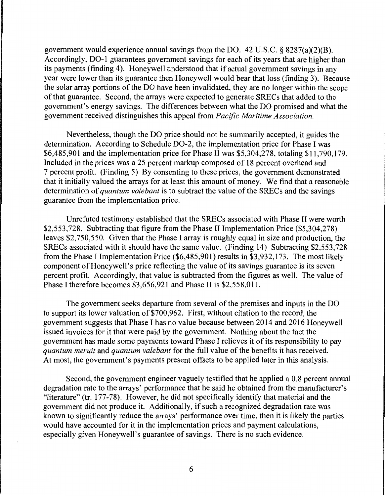government would experience annual savings from the DO. 42 U.S.C.  $\S$  8287(a)(2)(B). Accordingly, D0-1 guarantees government savings for each of its years that are higher than its payments (finding 4). Honeywell understood that if actual government savings in any year were lower than its guarantee then Honeywell would bear that loss (finding 3). Because the solar array portions of the DO have been invalidated, they are no longer within the scope of that guarantee. Second, the arrays were expected to generate SRECs that added to the government's energy savings. The differences between what the DO promised and what the government received distinguishes this appeal from *Pacific Maritime Association.* 

Nevertheless, though the DO price should not be summarily accepted, it guides the determination. According to Schedule D0-2, the implementation price for Phase I was \$6,485,901 and the implementation price for Phase II was \$5,304,278, totaling \$11,790,179. Included in the prices was a 25 percent markup composed of 18 percent overhead and 7 percent profit. (Finding 5) By consenting to these prices, the government demonstrated that it initially valued the arrays for at least this amount of money. We find that a reasonable determination of *quantum valebant* is to subtract the value of the SRECs and the savings guarantee from the implementation price.

Unrefuted testimony established that the SRECs associated with Phase II were worth \$2,553,728. Subtracting that figure from the Phase II Implementation Price (\$5,304,278) leaves \$2,750,550. Given that the Phase I array is roughly equal in size and production, the SRECs associated with it should have the same value. (Finding 14) Subtracting \$2,553,728 from the Phase I Implementation Price (\$6,485,901) results in \$3,932, 173. The most likely component of Honeywell's price reflecting the value of its savings guarantee is its seven percent profit. Accordingly, that value is subtracted from the figures as well. The value of Phase I therefore becomes \$3,656,921 and Phase II is \$2,558,011.

The government seeks departure from several of the premises and inputs in the DO to support its lower valuation of \$700,962. First, without citation to the record, the government suggests that Phase I has no value because between 2014 and 2016 Honeywell issued invoices for it that were paid by the government. Nothing about the fact the government has made some payments toward Phase I relieves it of its responsibility to pay *quantum meruit* and *quantum valebant* for the full value of the benefits it has received. At most, the government's payments present offsets to be applied later in this analysis.

Second, the government engineer vaguely testified that he applied a 0.8 percent annual degradation rate to the arrays' performance that he said he obtained from the manufacturer's "literature" (tr. 177-78). However, he did not specifically identify that material and the government did not produce it. Additionally, if such a recognized degradation rate was known to significantly reduce the arrays' performance over time, then it is likely the parties would have accounted for it in the implementation prices and payment calculations, especially given Honeywell's guarantee of savings. There is no such evidence.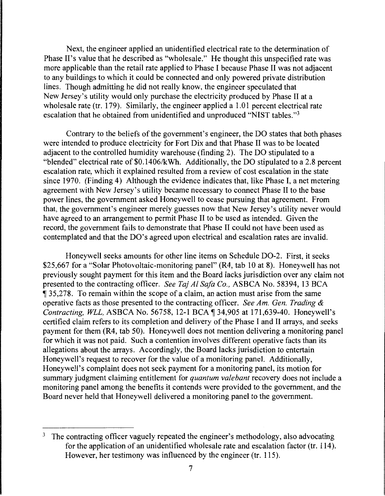Next, the engineer applied an unidentified electrical rate to the determination of Phase H's value that he described as "wholesale." He thought this unspecified rate was more applicable than the retail rate applied to Phase I because Phase II was not adjacent to any buildings to which it could be connected and only powered private distribution lines. Though admitting he did not really know, the engineer speculated that New Jersey's utility would only purchase the electricity produced by Phase II at a wholesale rate (tr. 179). Similarly, the engineer applied a 1.01 percent electrical rate escalation that he obtained from unidentified and unproduced "NIST tables. "3

Contrary to the beliefs of the government's engineer, the DO states that both phases were intended to produce electricity for Fort Dix and that Phase II was to be located adjacent to the controlled humidity warehouse (finding 2). The DO stipulated to a "blended" electrical rate of \$0.1406/kWh. Additionally, the DO stipulated to a 2.8 percent escalation rate, which it explained resulted from a review of cost escalation in the state since 1970. (Finding 4) Although the evidence indicates that, like Phase I, a net metering agreement with New Jersey's utility became necessary to connect Phase II to the base power lines, the government asked Honeywell to cease pursuing that agreement. From that, the government's engineer merely guesses now that New Jersey's utility never would have agreed to an arrangement to permit Phase II to be used as intended. Given the record, the government fails to demonstrate that Phase II could not have been used as contemplated and that the DO's agreed upon electrical and escalation rates are invalid.

Honeywell seeks amounts for other line items on Schedule D0-2. First, it seeks \$25,667 for a "Solar Photovoltaic-monitoring panel" (R4, tab 10 at 8). Honeywell has not previously sought payment for this item and the Board lacks jurisdiction over any claim not presented to the contracting officer. *See Taj Al Safa Co.,* ASBCA No. 58394, 13 BCA <sup>~</sup>35,278. To remain within the scope of a claim, an action must arise from the same operative facts as those presented to the contracting officer. *See Am. Gen. Trading* & *Contracting, WLL, ASBCA No.* 56758, 12-1 BCA ¶ 34,905 at 171,639-40. Honeywell's certified claim refers to its completion and delivery of the Phase I and II arrays, and seeks payment for them (R4, tab 50). Honeywell does not mention delivering a monitoring panel for which it was not paid. Such a contention involves different operative facts than its allegations about the arrays. Accordingly, the Board lacks jurisdiction to entertain Honeywell's request to recover for the value of a monitoring panel. Additionally, Honeywell's complaint does not seek payment for a monitoring panel, its motion for summary judgment claiming entitlement for *quantum valebant* recovery does not include a monitoring panel among the benefits it contends were provided to the government, and the Board never held that Honeywell delivered a monitoring panel to the government.

<sup>&</sup>lt;sup>3</sup> The contracting officer vaguely repeated the engineer's methodology, also advocating for the application of an unidentified wholesale rate and escalation factor (tr. 114). However, her testimony was influenced by the engineer (tr. 115).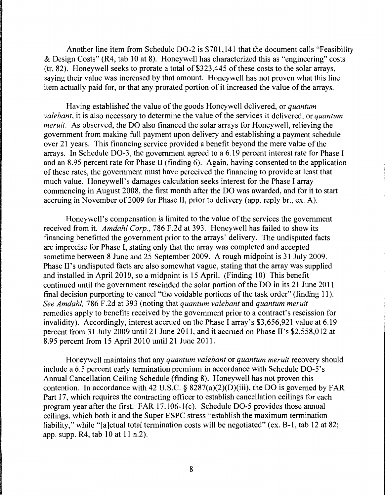Another line item from Schedule D0-2 is \$701,141 that the document calls "Feasibility & Design Costs" (R4, tab 10 at 8). Honeywell has characterized this as "engineering" costs (tr. 82). Honeywell seeks to prorate a total of \$323,445 of these costs to the solar arrays, saying their value was increased by that amount. Honeywell has not proven what this line item actually paid for, or that any prorated portion of it increased the value of the arrays.

Having established the value of the goods Honeywell delivered, or *quantum valebant,* it is also necessary to determine the value of the services it delivered, or *quantum meruit.* As observed, the DO also financed the solar arrays for Honeywell, relieving the government from making full payment upon delivery and establishing a payment schedule over 21 years. This financing service provided a benefit beyond the mere value of the arrays. In Schedule D0-3, the government agreed to a 6.19 percent interest rate for Phase I and an 8.95 percent rate for Phase II (finding 6). Again, having consented to the application of these rates, the government must have perceived the financing to provide at least that much value. Honeywell's damages calculation seeks interest for the Phase I array commencing in August 2008, the first month after the DO was awarded, and for it to start accruing in November of 2009 for Phase II, prior to delivery (app. reply hr., ex. A).

Honeywell's compensation is limited to the value of the services the government received from it. *Amdahl Corp.,* 786 F.2d at 393. Honeywell has failed to show its financing benefitted the government prior to the arrays' delivery. The undisputed facts are imprecise for Phase I, stating only that the array was completed and accepted sometime between 8 June and 25 September 2009. A rough midpoint is 31 July 2009. Phase II's undisputed facts are also somewhat vague, stating that the array was supplied and installed in April 2010, so a midpoint is 15 April. (Finding 10) This benefit continued until the government rescinded the solar portion of the DO in its 21 June 2011 final decision purporting to cancel "the voidable portions of the task order" (finding 11 ). *See Amdahl,* 786 F.2d at 393 (noting that *quantum valebant* and *quantum meruit*  remedies apply to benefits received by the government prior to a contract's rescission for invalidity). Accordingly, interest accrued on the Phase I array's \$3,656,921 value at 6.19 percent from 31 July 2009 until 21 June 2011, and it accrued on Phase II's \$2,558,012 at 8.95 percent from 15 April 2010 until 21 June 2011.

Honeywell maintains that any *quantum valebant* or *quantum meruit* recovery should include a 6.5 percent early termination premium in accordance with Schedule DO-S's Annual Cancellation Ceiling Schedule (finding 8). Honeywell has not proven this contention. In accordance with 42 U.S.C. § 8287(a)(2)(D)(iii), the DO is governed by FAR Part 17, which requires the contracting officer to establish cancellation ceilings for each program year after the first. FAR  $17.106-1(c)$ . Schedule DO-5 provides those annual ceilings, which both it and the Super ESPC stress "establish the maximum termination liability," while "[a]ctual total termination costs will be negotiated" (ex. B-1, tab 12 at 82; app. supp. R4, tab 10 at 11 n.2).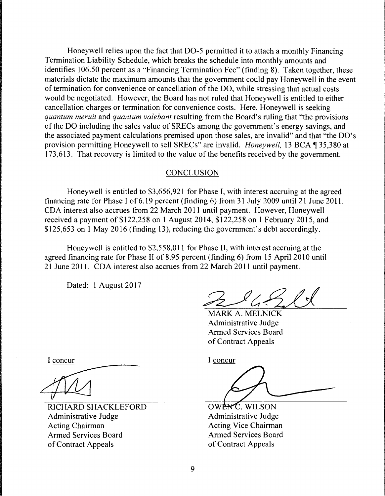Honeywell relies upon the fact that D0-5 permitted it to attach a monthly Financing Termination Liability Schedule, which breaks the schedule into monthly amounts and identifies 106.50 percent as a "Financing Termination Fee" (finding 8). Taken together, these materials dictate the maximum amounts that the government could pay Honeywell in the event of termination for convenience or cancellation of the DO, while stressing that actual costs would be negotiated. However, the Board has not ruled that Honeywell is entitled to either cancellation charges or termination for convenience costs. Here, Honeywell is seeking *quantum meruit* and *quantum valebant* resulting from the Board's ruling that "the provisions of the DO including the sales value of SRECs among the government's energy savings, and the associated payment calculations premised upon those sales, are invalid" and that "the DO's provision permitting Honeywell to sell SRECs" are invalid. *Honeywell*, 13 BCA ¶ 35,380 at 173.613. That recovery is limited to the value of the benefits received by the government.

### **CONCLUSION**

Honeywell is entitled to \$3,656,921 for Phase I, with interest accruing at the agreed financing rate for Phase I of 6.19 percent (finding 6) from 31 July 2009 until 21 June 2011. CDA interest also accrues from 22 March 2011 until payment. However, Honeywell received a payment of \$122,258 on 1 August 2014, \$122,258 on 1 February 2015, and \$125,653 on 1 May 2016 (finding 13), reducing the government's debt accordingly.

Honeywell is entitled to \$2,558,011 for Phase II, with interest accruing at the agreed financing rate for Phase II of 8.95 percent (finding 6) from 15 April 2010 until 21 June 2011. CDA interest also accrues from 22 March 2011 until payment.

Dated: 1 August 2017

MARK A. MELNICK Administrative Judge Armed Services Board of Contract Appeals

I concur

RICHARD SHACKLEFORD Administrative Judge Acting Chairman Armed Services Board of Contract Appeals

I concur

OWENC, WILSON Administrative Judge Acting Vice Chairman Armed Services Board of Contract Appeals